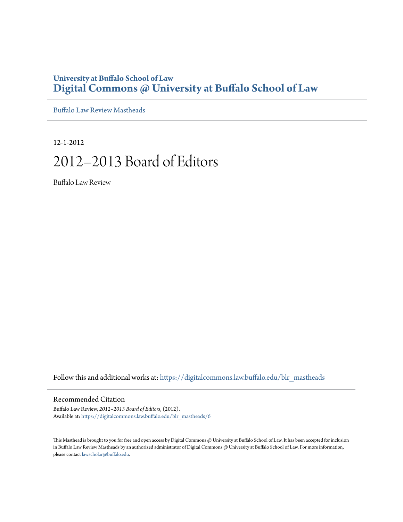## **University at Buffalo School of Law [Digital Commons @ University at Buffalo School of Law](https://digitalcommons.law.buffalo.edu?utm_source=digitalcommons.law.buffalo.edu%2Fblr_mastheads%2F6&utm_medium=PDF&utm_campaign=PDFCoverPages)**

[Buffalo Law Review Mastheads](https://digitalcommons.law.buffalo.edu/blr_mastheads?utm_source=digitalcommons.law.buffalo.edu%2Fblr_mastheads%2F6&utm_medium=PDF&utm_campaign=PDFCoverPages)

12-1-2012

# 2012–2013 Board of Editors

Buffalo Law Review

Follow this and additional works at: [https://digitalcommons.law.buffalo.edu/blr\\_mastheads](https://digitalcommons.law.buffalo.edu/blr_mastheads?utm_source=digitalcommons.law.buffalo.edu%2Fblr_mastheads%2F6&utm_medium=PDF&utm_campaign=PDFCoverPages)

### Recommended Citation

Buffalo Law Review, *2012–2013 Board of Editors*, (2012). Available at: [https://digitalcommons.law.buffalo.edu/blr\\_mastheads/6](https://digitalcommons.law.buffalo.edu/blr_mastheads/6?utm_source=digitalcommons.law.buffalo.edu%2Fblr_mastheads%2F6&utm_medium=PDF&utm_campaign=PDFCoverPages)

This Masthead is brought to you for free and open access by Digital Commons @ University at Buffalo School of Law. It has been accepted for inclusion in Buffalo Law Review Mastheads by an authorized administrator of Digital Commons @ University at Buffalo School of Law. For more information, please contact [lawscholar@buffalo.edu](mailto:lawscholar@buffalo.edu).